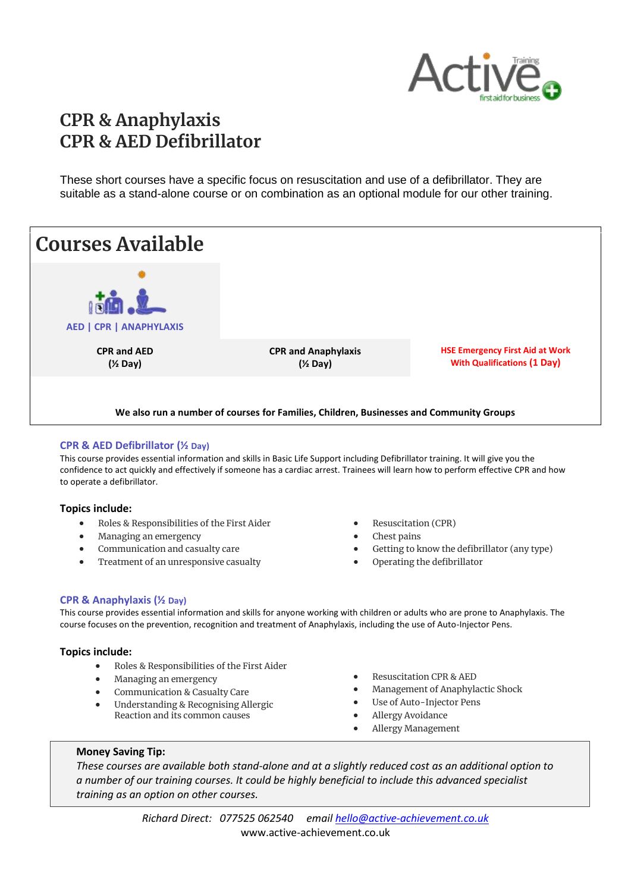

# **CPR & Anaphylaxis CPR & AED Defibrillator**

These short courses have a specific focus on resuscitation and use of a defibrillator. They are suitable as a stand-alone course or on combination as an optional module for our other training.



#### **CPR & AED Defibrillator (½ Day)**

This course provides essential information and skills in Basic Life Support including Defibrillator training. It will give you the confidence to act quickly and effectively if someone has a cardiac arrest. Trainees will learn how to perform effective CPR and how to operate a defibrillator.

#### **Topics include:**

- Roles & Responsibilities of the First Aider
- Managing an emergency
- Communication and casualty care
- Treatment of an unresponsive casualty
- Resuscitation (CPR)
- Chest pains
- Getting to know the defibrillator (any type)
- Operating the defibrillator

#### **CPR & Anaphylaxis (½ Day)**

This course provides essential information and skills for anyone working with children or adults who are prone to Anaphylaxis. The course focuses on the prevention, recognition and treatment of Anaphylaxis, including the use of Auto-Injector Pens.

#### **Topics include:**

- Roles & Responsibilities of the First Aider
- Managing an emergency
- **•** Communication & Casualty Care
- Understanding & Recognising Allergic Reaction and its common causes
- Resuscitation CPR & AED
- Management of Anaphylactic Shock
- Use of Auto-Injector Pens
- Allergy Avoidance
- Allergy Management

#### **Money Saving Tip:**

*These courses are available both stand-alone and at a slightly reduced cost as an additional option to a number of our training courses. It could be highly beneficial to include this advanced specialist training as an option on other courses.*